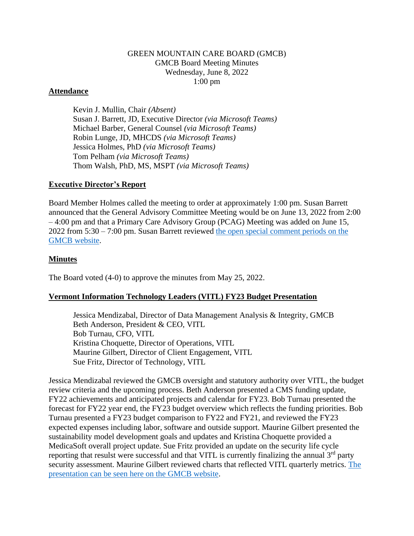# GREEN MOUNTAIN CARE BOARD (GMCB) GMCB Board Meeting Minutes Wednesday, June 8, 2022 1:00 pm

### **Attendance**

Kevin J. Mullin, Chair *(Absent)* Susan J. Barrett, JD, Executive Director *(via Microsoft Teams)* Michael Barber, General Counsel *(via Microsoft Teams)* Robin Lunge, JD, MHCDS *(via Microsoft Teams)* Jessica Holmes, PhD *(via Microsoft Teams)* Tom Pelham *(via Microsoft Teams)* Thom Walsh, PhD, MS, MSPT *(via Microsoft Teams)*

### **Executive Director's Report**

Board Member Holmes called the meeting to order at approximately 1:00 pm. Susan Barrett announced that the General Advisory Committee Meeting would be on June 13, 2022 from 2:00 – 4:00 pm and that a Primary Care Advisory Group (PCAG) Meeting was added on June 15, 2022 from 5:30 – 7:00 pm. Susan Barrett reviewed [the open special comment periods on the](https://gmcboard.vermont.gov/board/comment)  [GMCB website.](https://gmcboard.vermont.gov/board/comment)

# **Minutes**

The Board voted (4-0) to approve the minutes from May 25, 2022.

# **Vermont Information Technology Leaders (VITL) FY23 Budget Presentation**

Jessica Mendizabal, Director of Data Management Analysis & Integrity, GMCB Beth Anderson, President & CEO, VITL Bob Turnau, CFO, VITL Kristina Choquette, Director of Operations, VITL Maurine Gilbert, Director of Client Engagement, VITL Sue Fritz, Director of Technology, VITL

Jessica Mendizabal reviewed the GMCB oversight and statutory authority over VITL, the budget review criteria and the upcoming process. Beth Anderson presented a CMS funding update, FY22 achievements and anticipated projects and calendar for FY23. Bob Turnau presented the forecast for FY22 year end, the FY23 budget overview which reflects the funding priorities. Bob Turnau presented a FY23 budget comparison to FY22 and FY21, and reviewed the FY23 expected expenses including labor, software and outside support. Maurine Gilbert presented the sustainability model development goals and updates and Kristina Choquette provided a MedicaSoft overall project update. Sue Fritz provided an update on the security life cycle reporting that resulst were successful and that VITL is currently finalizing the annual  $3<sup>rd</sup>$  party security assessment. Maurine Gilbert reviewed charts that reflected VITL quarterly metrics. [The](https://gmcboard.vermont.gov/sites/gmcb/files/documents/Sec5Presentation_VITL_FY23_Rec20220602.pdf)  [presentation can be seen here on the GMCB website.](https://gmcboard.vermont.gov/sites/gmcb/files/documents/Sec5Presentation_VITL_FY23_Rec20220602.pdf)